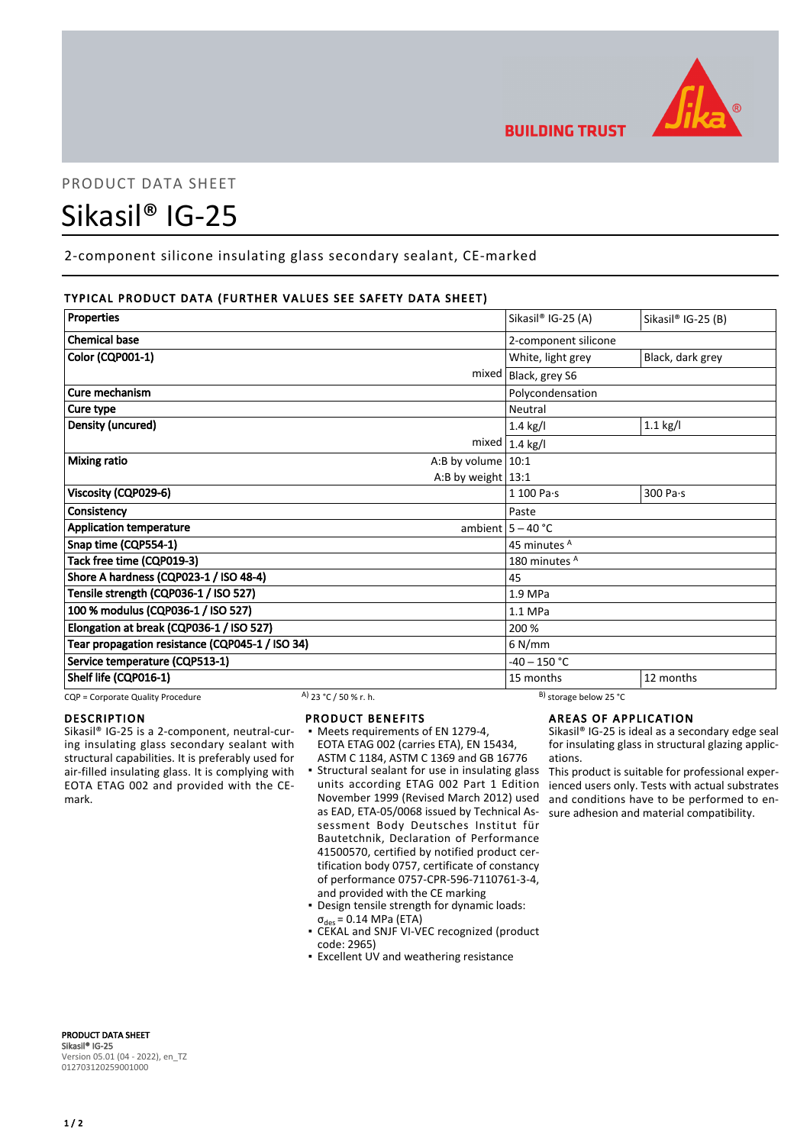

# PRODUCT DATA SHEET

# Sikasil® IG-25

2-component silicone insulating glass secondary sealant, CE-marked

# TYPICAL PRODUCT DATA (FURTHER VALUES SEE SAFETY DATA SHEET)

| Properties                                      | Sikasil® IG-25 (A)      | Sikasil® IG-25 (B) |
|-------------------------------------------------|-------------------------|--------------------|
|                                                 |                         |                    |
| <b>Chemical base</b>                            | 2-component silicone    |                    |
| <b>Color (CQP001-1)</b>                         | White, light grey       | Black, dark grey   |
| mixed                                           | Black, grey S6          |                    |
| Cure mechanism                                  | Polycondensation        |                    |
| Cure type                                       | Neutral                 |                    |
| Density (uncured)                               | $1.4$ kg/l              | $1.1$ kg/l         |
|                                                 | mixed $1.4$ kg/l        |                    |
| <b>Mixing ratio</b><br>A:B by volume $ 10:1$    |                         |                    |
| A:B by weight $13:1$                            |                         |                    |
| Viscosity (CQP029-6)                            | 1 100 Pa·s              | 300 Pa·s           |
| Consistency                                     | Paste                   |                    |
| <b>Application temperature</b>                  | ambient $5 - 40$ °C     |                    |
| Snap time (CQP554-1)                            | 45 minutes <sup>A</sup> |                    |
| Tack free time (CQP019-3)                       | 180 minutes A           |                    |
| Shore A hardness (CQP023-1 / ISO 48-4)          | 45                      |                    |
| Tensile strength (CQP036-1 / ISO 527)           | 1.9 MPa                 |                    |
| 100 % modulus (CQP036-1 / ISO 527)              | 1.1 MPa                 |                    |
| Elongation at break (CQP036-1 / ISO 527)        | 200 %                   |                    |
| Tear propagation resistance (CQP045-1 / ISO 34) | $6$ N/mm                |                    |
| Service temperature (CQP513-1)                  | $-40 - 150$ °C          |                    |
| Shelf life (CQP016-1)                           | 15 months               | 12 months          |

CQP = Corporate Quality Procedure A) 23 °C / 50 % r. h. B) storage below 25 °C

# DESCRIPTION

Sikasil® IG-25 is a 2-component, neutral-curing insulating glass secondary sealant with structural capabilities. It is preferably used for air-filled insulating glass. It is complying with EOTA ETAG 002 and provided with the CEmark.

#### PRODUCT BENEFITS

- Meets requirements of EN 1279-4, EOTA ETAG 002 (carries ETA), EN 15434, ASTM C 1184, ASTM C 1369 and GB 16776
- **Structural sealant for use in insulating glass** units according ETAG 002 Part 1 Edition November 1999 (Revised March 2012) used as EAD, ETA-05/0068 issued by Technical Assessment Body Deutsches Institut für Bautetchnik, Declaration of Performance 41500570, certified by notified product certification body 0757, certificate of constancy of performance 0757-CPR-596-7110761-3-4, and provided with the CE marking
- Design tensile strength for dynamic loads:  $\sigma_{des}$  = 0.14 MPa (ETA)
- CEKAL and SNJF VI-VEC recognized (product code: 2965)
- **Excellent UV and weathering resistance**

# AREAS OF APPLICATION

Sikasil® IG-25 is ideal as a secondary edge seal for insulating glass in structural glazing applications.

This product is suitable for professional experienced users only. Tests with actual substrates and conditions have to be performed to ensure adhesion and material compatibility.

PRODUCT DATA SHEET Sikasil® IG-25 Version 05.01 (04 - 2022), en\_TZ 012703120259001000